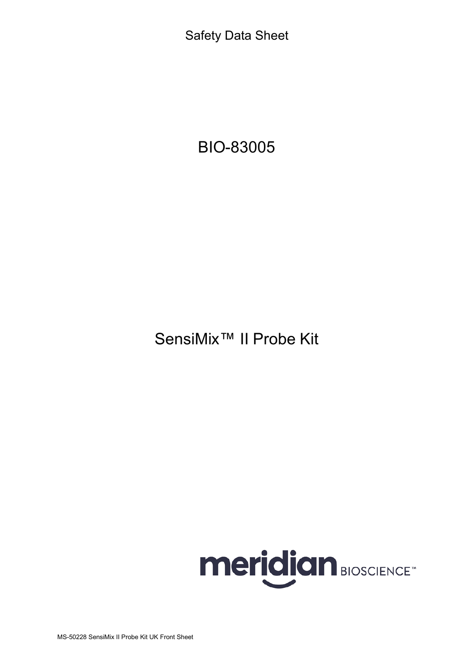Safety Data Sheet

# BIO-83005

SensiMix™ II Probe Kit



MS-50228 SensiMix II Probe Kit UK Front Sheet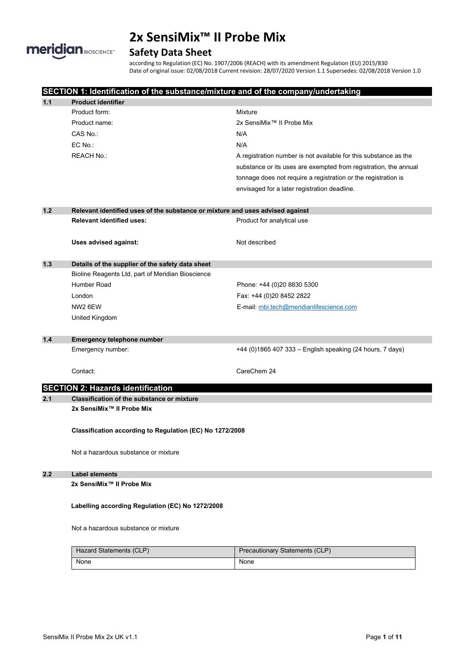

# **Safety Data Sheet**

according to Regulation (EC) No. 1907/2006 (REACH) with its amendment Regulation (EU) 2015/830 Date of original issue: 02/08/2018 Current revision: 28/07/2020 Version 1.1 Supersedes: 02/08/2018 Version 1.0

|                                                                                                   | SECTION 1: Identification of the substance/mixture and of the company/undertaking |                                                                  |  |  |
|---------------------------------------------------------------------------------------------------|-----------------------------------------------------------------------------------|------------------------------------------------------------------|--|--|
| 1.1                                                                                               | <b>Product identifier</b>                                                         |                                                                  |  |  |
|                                                                                                   | Product form:                                                                     | Mixture                                                          |  |  |
|                                                                                                   | Product name:                                                                     | 2x SensiMix™ II Probe Mix                                        |  |  |
|                                                                                                   | CAS No.:                                                                          | N/A                                                              |  |  |
|                                                                                                   | EC No.:                                                                           | N/A                                                              |  |  |
|                                                                                                   | <b>REACH No.:</b>                                                                 | A registration number is not available for this substance as the |  |  |
|                                                                                                   |                                                                                   | substance or its uses are exempted from registration, the annual |  |  |
|                                                                                                   |                                                                                   | tonnage does not require a registration or the registration is   |  |  |
|                                                                                                   |                                                                                   | envisaged for a later registration deadline.                     |  |  |
| $1.2$                                                                                             | Relevant identified uses of the substance or mixture and uses advised against     |                                                                  |  |  |
|                                                                                                   | <b>Relevant identified uses:</b>                                                  | Product for analytical use                                       |  |  |
|                                                                                                   | Uses advised against:                                                             | Not described                                                    |  |  |
| $1.3$                                                                                             | Details of the supplier of the safety data sheet                                  |                                                                  |  |  |
|                                                                                                   | Bioline Reagents Ltd, part of Meridian Bioscience                                 |                                                                  |  |  |
|                                                                                                   | Humber Road                                                                       | Phone: +44 (0)20 8830 5300                                       |  |  |
|                                                                                                   | London                                                                            | Fax: +44 (0)20 8452 2822                                         |  |  |
|                                                                                                   | NW <sub>2</sub> 6EW                                                               | E-mail: mbi.tech@meridianlifescience.com                         |  |  |
|                                                                                                   | United Kingdom                                                                    |                                                                  |  |  |
|                                                                                                   |                                                                                   |                                                                  |  |  |
| $1.4$                                                                                             | <b>Emergency telephone number</b>                                                 |                                                                  |  |  |
|                                                                                                   | Emergency number:                                                                 | +44 (0)1865 407 333 - English speaking (24 hours, 7 days)        |  |  |
|                                                                                                   | Contact:                                                                          | CareChem 24                                                      |  |  |
|                                                                                                   | <b>SECTION 2: Hazards identification</b>                                          |                                                                  |  |  |
| 2.1<br><b>Classification of the substance or mixture</b><br>2x SensiMix <sup>™</sup> Il Probe Mix |                                                                                   |                                                                  |  |  |
|                                                                                                   |                                                                                   |                                                                  |  |  |
|                                                                                                   | Classification according to Regulation (EC) No 1272/2008                          |                                                                  |  |  |
|                                                                                                   | Not a hazardous substance or mixture                                              |                                                                  |  |  |
| 2.2<br><b>Label elements</b>                                                                      |                                                                                   |                                                                  |  |  |
|                                                                                                   | 2x SensiMix <sup>™</sup> Il Probe Mix                                             |                                                                  |  |  |
| Labelling according Regulation (EC) No 1272/2008                                                  |                                                                                   |                                                                  |  |  |
|                                                                                                   | Not a hazardous substance or mixture                                              |                                                                  |  |  |
|                                                                                                   | Hazard Statements (CLP)                                                           | <b>Precautionary Statements (CLP)</b>                            |  |  |
|                                                                                                   | None                                                                              | None                                                             |  |  |
|                                                                                                   |                                                                                   |                                                                  |  |  |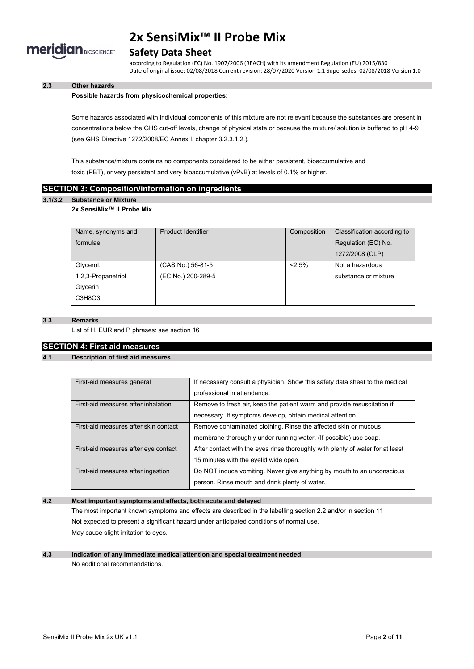

# **Safety Data Sheet**

according to Regulation (EC) No. 1907/2006 (REACH) with its amendment Regulation (EU) 2015/830 Date of original issue: 02/08/2018 Current revision: 28/07/2020 Version 1.1 Supersedes: 02/08/2018 Version 1.0

# **2.3 Other hazards**

#### **Possible hazards from physicochemical properties:**

Some hazards associated with individual components of this mixture are not relevant because the substances are present in concentrations below the GHS cut-off levels, change of physical state or because the mixture/ solution is buffered to pH 4-9 (see GHS Directive 1272/2008/EC Annex I, chapter 3.2.3.1.2.).

This substance/mixture contains no components considered to be either persistent, bioaccumulative and toxic (PBT), or very persistent and very bioaccumulative (vPvB) at levels of 0.1% or higher.

# **SECTION 3: Composition/information on ingredients**

#### **3.1/3.2 Substance or Mixture**

#### **2x SensiMix™ II Probe Mix**

| Name, synonyms and | Product Identifier | Composition | Classification according to |
|--------------------|--------------------|-------------|-----------------------------|
| formulae           |                    |             | Regulation (EC) No.         |
|                    |                    |             | 1272/2008 (CLP)             |
| Glycerol,          | (CAS No.) 56-81-5  | 2.5%        | Not a hazardous             |
| 1,2,3-Propanetriol | (EC No.) 200-289-5 |             | substance or mixture        |
| Glycerin           |                    |             |                             |
| C3H8O3             |                    |             |                             |

### **3.3 Remarks**

List of H, EUR and P phrases: see section 16

# **SECTION 4: First aid measures**

### **4.1 Description of first aid measures**

| First-aid measures general            | If necessary consult a physician. Show this safety data sheet to the medical   |
|---------------------------------------|--------------------------------------------------------------------------------|
|                                       | professional in attendance.                                                    |
| First-aid measures after inhalation   | Remove to fresh air, keep the patient warm and provide resuscitation if        |
|                                       | necessary. If symptoms develop, obtain medical attention.                      |
| First-aid measures after skin contact | Remove contaminated clothing. Rinse the affected skin or mucous                |
|                                       | membrane thoroughly under running water. (If possible) use soap.               |
| First-aid measures after eye contact  | After contact with the eyes rinse thoroughly with plenty of water for at least |
|                                       | 15 minutes with the eyelid wide open.                                          |
| First-aid measures after ingestion    | Do NOT induce vomiting. Never give anything by mouth to an unconscious         |
|                                       | person. Rinse mouth and drink plenty of water.                                 |

# **4.2 Most important symptoms and effects, both acute and delayed**

The most important known symptoms and effects are described in the labelling section 2.2 and/or in section 11 Not expected to present a significant hazard under anticipated conditions of normal use. May cause slight irritation to eyes.

### **4.3 Indication of any immediate medical attention and special treatment needed** No additional recommendations.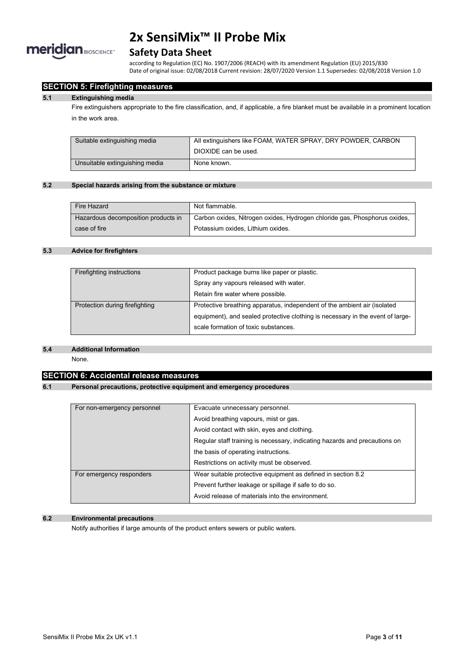

# **Safety Data Sheet**

according to Regulation (EC) No. 1907/2006 (REACH) with its amendment Regulation (EU) 2015/830 Date of original issue: 02/08/2018 Current revision: 28/07/2020 Version 1.1 Supersedes: 02/08/2018 Version 1.0

# **SECTION 5: Firefighting measures**

#### **5.1 Extinguishing media**

Fire extinguishers appropriate to the fire classification, and, if applicable, a fire blanket must be available in a prominent location in the work area.

| Suitable extinguishing media   | All extinguishers like FOAM, WATER SPRAY, DRY POWDER, CARBON |
|--------------------------------|--------------------------------------------------------------|
|                                | DIOXIDE can be used.                                         |
| Unsuitable extinguishing media | None known.                                                  |

#### **5.2 Special hazards arising from the substance or mixture**

| Fire Hazard                         | Not flammable.                                                            |
|-------------------------------------|---------------------------------------------------------------------------|
| Hazardous decomposition products in | Carbon oxides, Nitrogen oxides, Hydrogen chloride gas, Phosphorus oxides, |
| case of fire                        | Potassium oxides. Lithium oxides.                                         |

# **5.3 Advice for firefighters**

| Firefighting instructions      | Product package burns like paper or plastic.                                   |
|--------------------------------|--------------------------------------------------------------------------------|
|                                | Spray any vapours released with water.                                         |
|                                | Retain fire water where possible.                                              |
| Protection during firefighting | Protective breathing apparatus, independent of the ambient air (isolated       |
|                                | equipment), and sealed protective clothing is necessary in the event of large- |
|                                | scale formation of toxic substances.                                           |

#### **5.4 Additional Information**

None.

### **SECTION 6: Accidental release measures**

# **6.1 Personal precautions, protective equipment and emergency procedures**

| For non-emergency personnel | Evacuate unnecessary personnel.                                            |
|-----------------------------|----------------------------------------------------------------------------|
|                             | Avoid breathing vapours, mist or gas.                                      |
|                             | Avoid contact with skin, eyes and clothing.                                |
|                             | Regular staff training is necessary, indicating hazards and precautions on |
|                             | the basis of operating instructions.                                       |
|                             | Restrictions on activity must be observed.                                 |
| For emergency responders    | Wear suitable protective equipment as defined in section 8.2               |
|                             | Prevent further leakage or spillage if safe to do so.                      |
|                             | Avoid release of materials into the environment.                           |

# **6.2 Environmental precautions**

Notify authorities if large amounts of the product enters sewers or public waters.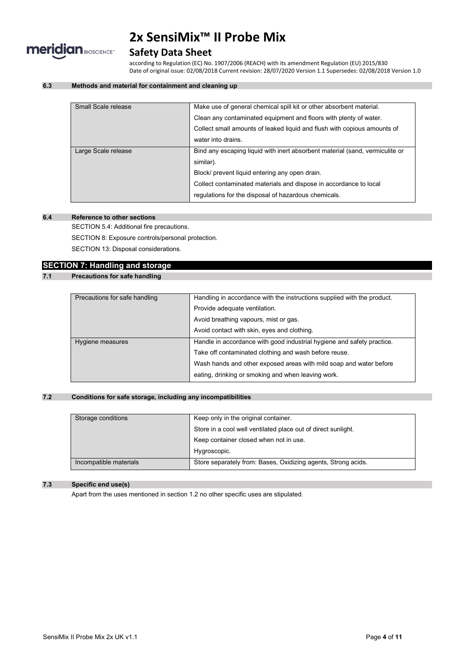

# **Safety Data Sheet**

according to Regulation (EC) No. 1907/2006 (REACH) with its amendment Regulation (EU) 2015/830 Date of original issue: 02/08/2018 Current revision: 28/07/2020 Version 1.1 Supersedes: 02/08/2018 Version 1.0

# **6.3 Methods and material for containment and cleaning up**

| Small Scale release | Make use of general chemical spill kit or other absorbent material.          |
|---------------------|------------------------------------------------------------------------------|
|                     | Clean any contaminated equipment and floors with plenty of water.            |
|                     | Collect small amounts of leaked liquid and flush with copious amounts of     |
|                     | water into drains.                                                           |
| Large Scale release | Bind any escaping liquid with inert absorbent material (sand, vermiculite or |
|                     | similar).                                                                    |
|                     | Block/ prevent liquid entering any open drain.                               |
|                     | Collect contaminated materials and dispose in accordance to local            |
|                     | regulations for the disposal of hazardous chemicals.                         |
|                     |                                                                              |

# **6.4 Reference to other sections**

SECTION 5.4: Additional fire precautions.

SECTION 8: Exposure controls/personal protection.

SECTION 13: Disposal considerations.

### **SECTION 7: Handling and storage**

# **7.1 Precautions for safe handling**

| Precautions for safe handling | Handling in accordance with the instructions supplied with the product. |  |
|-------------------------------|-------------------------------------------------------------------------|--|
|                               | Provide adequate ventilation.                                           |  |
|                               | Avoid breathing vapours, mist or gas.                                   |  |
|                               | Avoid contact with skin, eyes and clothing.                             |  |
| Hygiene measures              | Handle in accordance with good industrial hygiene and safety practice.  |  |
|                               | Take off contaminated clothing and wash before reuse.                   |  |
|                               | Wash hands and other exposed areas with mild soap and water before      |  |
|                               | eating, drinking or smoking and when leaving work.                      |  |

# **7.2 Conditions for safe storage, including any incompatibilities**

| Storage conditions     | Keep only in the original container.                          |  |
|------------------------|---------------------------------------------------------------|--|
|                        | Store in a cool well ventilated place out of direct sunlight. |  |
|                        | Keep container closed when not in use.                        |  |
|                        | Hygroscopic.                                                  |  |
| Incompatible materials | Store separately from: Bases, Oxidizing agents, Strong acids. |  |

# **7.3 Specific end use(s)**

Apart from the uses mentioned in section 1.2 no other specific uses are stipulated.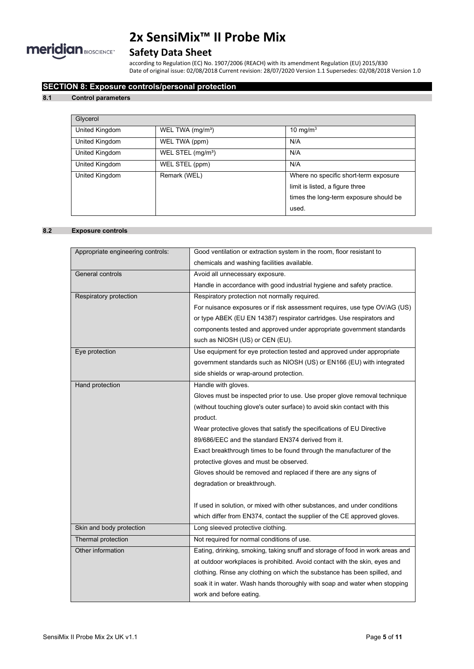

# **Safety Data Sheet**

according to Regulation (EC) No. 1907/2006 (REACH) with its amendment Regulation (EU) 2015/830 Date of original issue: 02/08/2018 Current revision: 28/07/2020 Version 1.1 Supersedes: 02/08/2018 Version 1.0

# **SECTION 8: Exposure controls/personal protection**

### **8.1 Control parameters**

| Glycerol       |                               |                                                                          |
|----------------|-------------------------------|--------------------------------------------------------------------------|
| United Kingdom | WEL TWA (mg/m <sup>3</sup> )  | 10 mg/m $3$                                                              |
| United Kingdom | WEL TWA (ppm)                 | N/A                                                                      |
| United Kingdom | WEL STEL (mg/m <sup>3</sup> ) | N/A                                                                      |
| United Kingdom | WEL STEL (ppm)                | N/A                                                                      |
| United Kingdom | Remark (WEL)                  | Where no specific short-term exposure<br>limit is listed, a figure three |
|                |                               | times the long-term exposure should be                                   |
|                |                               | used.                                                                    |

# **8.2 Exposure controls**

| Appropriate engineering controls: | Good ventilation or extraction system in the room, floor resistant to         |
|-----------------------------------|-------------------------------------------------------------------------------|
|                                   | chemicals and washing facilities available.                                   |
| General controls                  | Avoid all unnecessary exposure.                                               |
|                                   | Handle in accordance with good industrial hygiene and safety practice.        |
| Respiratory protection            | Respiratory protection not normally required.                                 |
|                                   | For nuisance exposures or if risk assessment requires, use type OV/AG (US)    |
|                                   | or type ABEK (EU EN 14387) respirator cartridges. Use respirators and         |
|                                   | components tested and approved under appropriate government standards         |
|                                   | such as NIOSH (US) or CEN (EU).                                               |
| Eye protection                    | Use equipment for eye protection tested and approved under appropriate        |
|                                   | government standards such as NIOSH (US) or EN166 (EU) with integrated         |
|                                   | side shields or wrap-around protection.                                       |
| Hand protection                   | Handle with gloves.                                                           |
|                                   | Gloves must be inspected prior to use. Use proper glove removal technique     |
|                                   | (without touching glove's outer surface) to avoid skin contact with this      |
|                                   | product.                                                                      |
|                                   | Wear protective gloves that satisfy the specifications of EU Directive        |
|                                   | 89/686/EEC and the standard EN374 derived from it.                            |
|                                   | Exact breakthrough times to be found through the manufacturer of the          |
|                                   | protective gloves and must be observed.                                       |
|                                   | Gloves should be removed and replaced if there are any signs of               |
|                                   | degradation or breakthrough.                                                  |
|                                   |                                                                               |
|                                   | If used in solution, or mixed with other substances, and under conditions     |
|                                   | which differ from EN374, contact the supplier of the CE approved gloves.      |
| Skin and body protection          | Long sleeved protective clothing.                                             |
| Thermal protection                | Not required for normal conditions of use.                                    |
| Other information                 | Eating, drinking, smoking, taking snuff and storage of food in work areas and |
|                                   | at outdoor workplaces is prohibited. Avoid contact with the skin, eyes and    |
|                                   | clothing. Rinse any clothing on which the substance has been spilled, and     |
|                                   | soak it in water. Wash hands thoroughly with soap and water when stopping     |
|                                   | work and before eating.                                                       |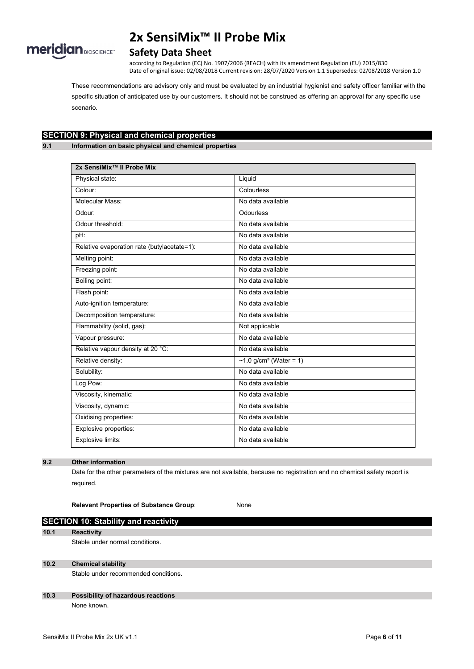

# **Safety Data Sheet**

according to Regulation (EC) No. 1907/2006 (REACH) with its amendment Regulation (EU) 2015/830 Date of original issue: 02/08/2018 Current revision: 28/07/2020 Version 1.1 Supersedes: 02/08/2018 Version 1.0

These recommendations are advisory only and must be evaluated by an industrial hygienist and safety officer familiar with the specific situation of anticipated use by our customers. It should not be construed as offering an approval for any specific use scenario.

# **SECTION 9: Physical and chemical properties**

**9.1 Information on basic physical and chemical properties**

| 2x SensiMix <sup>™</sup> Il Probe Mix       |                                                 |
|---------------------------------------------|-------------------------------------------------|
| Physical state:                             | Liquid                                          |
| Colour:                                     | Colourless                                      |
| Molecular Mass:                             | No data available                               |
| Odour:                                      | Odourless                                       |
| Odour threshold:                            | No data available                               |
| pH:                                         | No data available                               |
| Relative evaporation rate (butylacetate=1): | No data available                               |
| Melting point:                              | No data available                               |
| Freezing point:                             | No data available                               |
| Boiling point:                              | No data available                               |
| Flash point:                                | No data available                               |
| Auto-ignition temperature:                  | No data available                               |
| Decomposition temperature:                  | No data available                               |
| Flammability (solid, gas):                  | Not applicable                                  |
| Vapour pressure:                            | No data available                               |
| Relative vapour density at 20 °C:           | No data available                               |
| Relative density:                           | ~1.0 $\frac{1}{9}$ /cm <sup>3</sup> (Water = 1) |
| Solubility:                                 | No data available                               |
| Log Pow:                                    | No data available                               |
| Viscosity, kinematic:                       | No data available                               |
| Viscosity, dynamic:                         | No data available                               |
| Oxidising properties:                       | No data available                               |
| Explosive properties:                       | No data available                               |
| Explosive limits:                           | No data available                               |

# **9.2 Other information**

Data for the other parameters of the mixtures are not available, because no registration and no chemical safety report is required.

**Relevant Properties of Substance Group**: None

# **SECTION 10: Stability and reactivity 10.1 Reactivity** Stable under normal conditions.

### **10.2 Chemical stability**

Stable under recommended conditions.

### **10.3 Possibility of hazardous reactions** None known.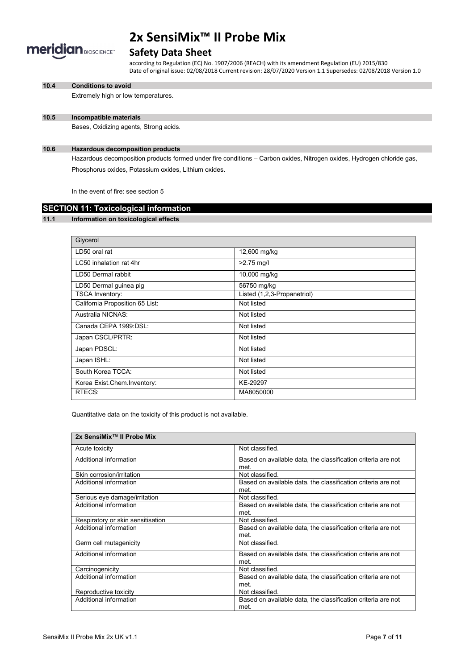

# **Safety Data Sheet**

according to Regulation (EC) No. 1907/2006 (REACH) with its amendment Regulation (EU) 2015/830 Date of original issue: 02/08/2018 Current revision: 28/07/2020 Version 1.1 Supersedes: 02/08/2018 Version 1.0

**10.4 Conditions to avoid**

Extremely high or low temperatures.

# **10.5 Incompatible materials**

Bases, Oxidizing agents, Strong acids.

#### **10.6 Hazardous decomposition products**

Hazardous decomposition products formed under fire conditions – Carbon oxides, Nitrogen oxides, Hydrogen chloride gas, Phosphorus oxides, Potassium oxides, Lithium oxides.

In the event of fire: see section 5

# **SECTION 11: Toxicological information**

#### **11.1 Information on toxicological effects**

| Glycerol                        |                             |
|---------------------------------|-----------------------------|
| LD50 oral rat                   | 12,600 mg/kg                |
| LC50 inhalation rat 4hr         | $>2.75$ mg/l                |
| LD50 Dermal rabbit              | 10,000 mg/kg                |
| LD50 Dermal guinea pig          | 56750 mg/kg                 |
| <b>TSCA Inventory:</b>          | Listed (1,2,3-Propanetriol) |
| California Proposition 65 List: | Not listed                  |
| Australia NICNAS:               | Not listed                  |
| Canada CEPA 1999:DSL:           | Not listed                  |
| Japan CSCL/PRTR:                | Not listed                  |
| Japan PDSCL:                    | Not listed                  |
| Japan ISHL:                     | Not listed                  |
| South Korea TCCA:               | Not listed                  |
| Korea Exist.Chem.Inventory:     | KE-29297                    |
| RTECS:                          | MA8050000                   |

Quantitative data on the toxicity of this product is not available.

| 2x SensiMix™ II Probe Mix         |                                                                      |
|-----------------------------------|----------------------------------------------------------------------|
| Acute toxicity                    | Not classified.                                                      |
| Additional information            | Based on available data, the classification criteria are not<br>met. |
| Skin corrosion/irritation         | Not classified.                                                      |
| Additional information            | Based on available data, the classification criteria are not<br>met. |
| Serious eye damage/irritation     | Not classified.                                                      |
| Additional information            | Based on available data, the classification criteria are not<br>met. |
| Respiratory or skin sensitisation | Not classified.                                                      |
| Additional information            | Based on available data, the classification criteria are not<br>met. |
| Germ cell mutagenicity            | Not classified.                                                      |
| Additional information            | Based on available data, the classification criteria are not<br>met. |
| Carcinogenicity                   | Not classified.                                                      |
| Additional information            | Based on available data, the classification criteria are not<br>met  |
| Reproductive toxicity             | Not classified.                                                      |
| Additional information            | Based on available data, the classification criteria are not<br>met  |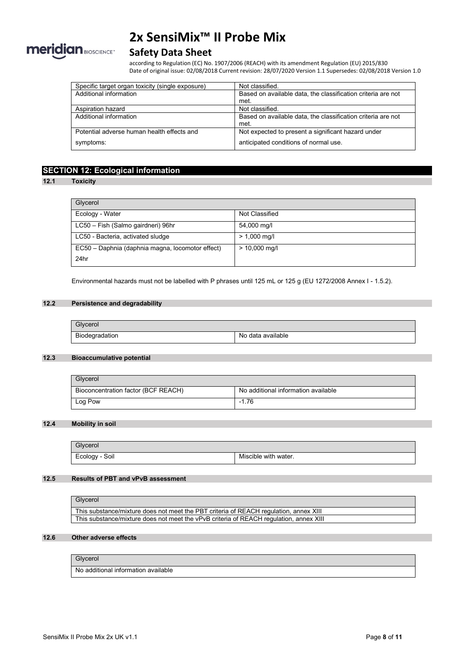

# **Safety Data Sheet**

according to Regulation (EC) No. 1907/2006 (REACH) with its amendment Regulation (EU) 2015/830 Date of original issue: 02/08/2018 Current revision: 28/07/2020 Version 1.1 Supersedes: 02/08/2018 Version 1.0

| Specific target organ toxicity (single exposure) | Not classified.                                              |
|--------------------------------------------------|--------------------------------------------------------------|
| Additional information                           | Based on available data, the classification criteria are not |
|                                                  | met.                                                         |
| Aspiration hazard                                | Not classified.                                              |
| Additional information                           | Based on available data, the classification criteria are not |
|                                                  | met.                                                         |
| Potential adverse human health effects and       | Not expected to present a significant hazard under           |
| symptoms:                                        | anticipated conditions of normal use.                        |

# **SECTION 12: Ecological information**

### **12.1 Toxicity**

| Glycerol                                         |                 |
|--------------------------------------------------|-----------------|
| Ecology - Water                                  | Not Classified  |
| LC50 - Fish (Salmo gairdneri) 96hr               | 54,000 mg/l     |
| LC50 - Bacteria, activated sludge                | $> 1,000$ mg/l  |
| EC50 - Daphnia (daphnia magna, locomotor effect) | $> 10,000$ mg/l |
| 24hr                                             |                 |

Environmental hazards must not be labelled with P phrases until 125 mL or 125 g (EU 1272/2008 Annex I - 1.5.2).

# **12.2 Persistence and degradability**

| Glycerol       |                   |
|----------------|-------------------|
| Biodegradation | No data available |

# **12.3 Bioaccumulative potential**

| Glycerol                            |                                     |
|-------------------------------------|-------------------------------------|
| Bioconcentration factor (BCF REACH) | No additional information available |
| Log Pow                             | $-1.76$                             |

# **12.4 Mobility in soil**

| Glycerol       |                      |
|----------------|----------------------|
| Ecology - Soil | Miscible with water. |

### **12.5 Results of PBT and vPvB assessment**

| Glycerol                                                                               |
|----------------------------------------------------------------------------------------|
| This substance/mixture does not meet the PBT criteria of REACH regulation, annex XIII  |
| This substance/mixture does not meet the vPvB criteria of REACH regulation, annex XIII |

#### **12.6 Other adverse effects**

#### Glycerol

No additional information available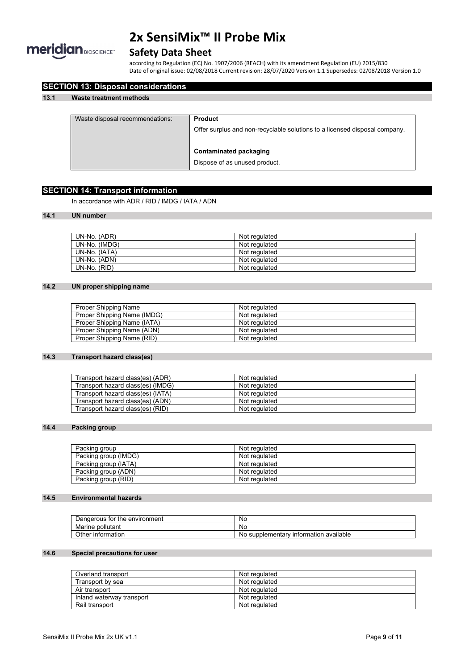

# **Safety Data Sheet**

according to Regulation (EC) No. 1907/2006 (REACH) with its amendment Regulation (EU) 2015/830 Date of original issue: 02/08/2018 Current revision: 28/07/2020 Version 1.1 Supersedes: 02/08/2018 Version 1.0

| Waste disposal recommendations: | <b>Product</b>                                                             |
|---------------------------------|----------------------------------------------------------------------------|
|                                 | Offer surplus and non-recyclable solutions to a licensed disposal company. |
|                                 | Contaminated packaging                                                     |
|                                 | Dispose of as unused product.                                              |

# **SECTION 14: Transport information**

**SECTION 13: Disposal considerations**

In accordance with ADR / RID / IMDG / IATA / ADN

# **14.1 UN number**

| UN-No. (ADR)  | Not regulated |
|---------------|---------------|
| UN-No. (IMDG) | Not regulated |
| UN-No. (IATA) | Not regulated |
| UN-No. (ADN)  | Not regulated |
| UN-No. (RID)  | Not regulated |

# **14.2 UN proper shipping name**

| Proper Shipping Name        | Not regulated |
|-----------------------------|---------------|
| Proper Shipping Name (IMDG) | Not regulated |
| Proper Shipping Name (IATA) | Not regulated |
| Proper Shipping Name (ADN)  | Not regulated |
| Proper Shipping Name (RID)  | Not regulated |

### **14.3 Transport hazard class(es)**

| Transport hazard class(es) (ADR)  | Not regulated |
|-----------------------------------|---------------|
| Transport hazard class(es) (IMDG) | Not regulated |
| Transport hazard class(es) (IATA) | Not regulated |
| Transport hazard class(es) (ADN)  | Not regulated |
| Transport hazard class(es) (RID)  | Not regulated |

# **14.4 Packing group**

| Packing group        | Not regulated |
|----------------------|---------------|
| Packing group (IMDG) | Not regulated |
| Packing group (IATA) | Not regulated |
| Packing group (ADN)  | Not regulated |
| Packing group (RID)  | Not regulated |

# **14.5 Environmental hazards**

| Dangerous for the environment | No                                           |
|-------------------------------|----------------------------------------------|
| Marine pollutant              | No                                           |
| Other information             | supplementary information available י<br>No. |

# **14.6 Special precautions for user**

| Overland transport        | Not regulated |
|---------------------------|---------------|
| Transport by sea          | Not regulated |
| Air transport             | Not regulated |
| Inland waterway transport | Not regulated |
| Rail transport            | Not regulated |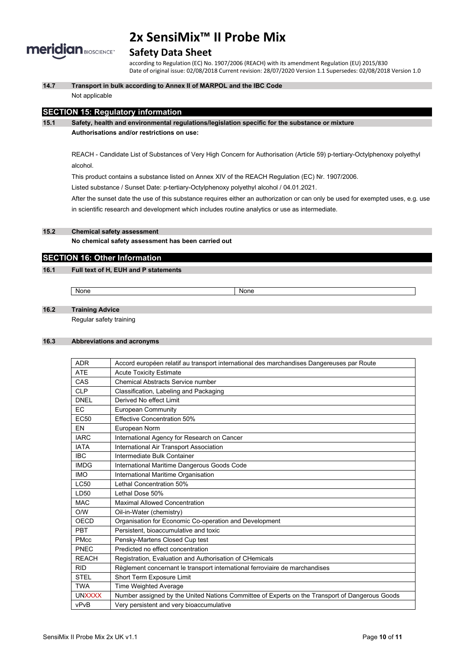

# **Safety Data Sheet**

according to Regulation (EC) No. 1907/2006 (REACH) with its amendment Regulation (EU) 2015/830 Date of original issue: 02/08/2018 Current revision: 28/07/2020 Version 1.1 Supersedes: 02/08/2018 Version 1.0

**14.7 Transport in bulk according to Annex II of MARPOL and the IBC Code**

### Not applicable

# **SECTION 15: Regulatory information**

### **15.1 Safety, health and environmental regulations/legislation specific for the substance or mixture**

#### **Authorisations and/or restrictions on use:**

REACH - Candidate List of Substances of Very High Concern for Authorisation (Article 59) p-tertiary-Octylphenoxy polyethyl alcohol.

This product contains a substance listed on Annex XIV of the REACH Regulation (EC) Nr. 1907/2006.

Listed substance / Sunset Date: p-tertiary-Octylphenoxy polyethyl alcohol / 04.01.2021.

After the sunset date the use of this substance requires either an authorization or can only be used for exempted uses, e.g. use in scientific research and development which includes routine analytics or use as intermediate.

# **15.2 Chemical safety assessment**

**No chemical safety assessment has been carried out**

# **SECTION 16: Other Information**

### **16.1 Full text of H, EUH and P statements**

None None None

# **16.2 Training Advice**

Regular safety training

# **16.3 Abbreviations and acronyms**

| <b>ADR</b>    | Accord européen relatif au transport international des marchandises Dangereuses par Route      |
|---------------|------------------------------------------------------------------------------------------------|
| <b>ATE</b>    | <b>Acute Toxicity Estimate</b>                                                                 |
| CAS           | Chemical Abstracts Service number                                                              |
| <b>CLP</b>    | Classification, Labeling and Packaging                                                         |
| <b>DNEL</b>   | Derived No effect Limit                                                                        |
| EC            | European Community                                                                             |
| <b>EC50</b>   | Effective Concentration 50%                                                                    |
| EN            | European Norm                                                                                  |
| <b>IARC</b>   | International Agency for Research on Cancer                                                    |
| <b>IATA</b>   | International Air Transport Association                                                        |
| <b>IBC</b>    | Intermediate Bulk Container                                                                    |
| <b>IMDG</b>   | International Maritime Dangerous Goods Code                                                    |
| <b>IMO</b>    | International Maritime Organisation                                                            |
| LC50          | Lethal Concentration 50%                                                                       |
| LD50          | Lethal Dose 50%                                                                                |
| <b>MAC</b>    | <b>Maximal Allowed Concentration</b>                                                           |
| O/W           | Oil-in-Water (chemistry)                                                                       |
| OECD          | Organisation for Economic Co-operation and Development                                         |
| PBT           | Persistent, bioaccumulative and toxic                                                          |
| <b>PMcc</b>   | Pensky-Martens Closed Cup test                                                                 |
| PNEC          | Predicted no effect concentration                                                              |
| <b>REACH</b>  | Registration, Evaluation and Authorisation of CHemicals                                        |
| <b>RID</b>    | Règlement concernant le transport international ferroviaire de marchandises                    |
| <b>STEL</b>   | Short Term Exposure Limit                                                                      |
| <b>TWA</b>    | <b>Time Weighted Average</b>                                                                   |
| <b>UNXXXX</b> | Number assigned by the United Nations Committee of Experts on the Transport of Dangerous Goods |
| vPvB          | Very persistent and very bioaccumulative                                                       |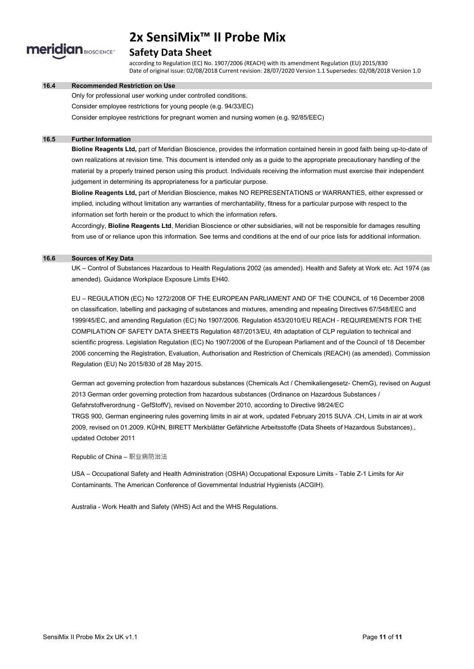

# **Safety Data Sheet**

according to Regulation (EC) No. 1907/2006 (REACH) with its amendment Regulation (EU) 2015/830 Date of original issue: 02/08/2018 Current revision: 28/07/2020 Version 1.1 Supersedes: 02/08/2018 Version 1.0

#### **16.4 Recommended Restriction on Use**

Only for professional user working under controlled conditions.

Consider employee restrictions for young people (e.g. 94/33/EC)

Consider employee restrictions for pregnant women and nursing women (e.g. 92/85/EEC)

#### **16.5 Further Information**

**Bioline Reagents Ltd,** part of Meridian Bioscience, provides the information contained herein in good faith being up-to-date of own realizations at revision time. This document is intended only as a guide to the appropriate precautionary handling of the material by a properly trained person using this product. Individuals receiving the information must exercise their independent judgement in determining its appropriateness for a particular purpose.

**Bioline Reagents Ltd,** part of Meridian Bioscience, makes NO REPRESENTATIONS or WARRANTIES, either expressed or implied, including without limitation any warranties of merchantability, fitness for a particular purpose with respect to the information set forth herein or the product to which the information refers.

Accordingly, **Bioline Reagents Ltd**, Meridian Bioscience or other subsidiaries, will not be responsible for damages resulting from use of or reliance upon this information. See terms and conditions at the end of our price lists for additional information.

#### **16.6 Sources of Key Data**

UK – Control of Substances Hazardous to Health Regulations 2002 (as amended). Health and Safety at Work etc. Act 1974 (as amended). Guidance Workplace Exposure Limits EH40.

EU – REGULATION (EC) No 1272/2008 OF THE EUROPEAN PARLIAMENT AND OF THE COUNCIL of 16 December 2008 on classification, labelling and packaging of substances and mixtures, amending and repealing Directives 67/548/EEC and 1999/45/EC, and amending Regulation (EC) No 1907/2006. Regulation 453/2010/EU REACH - REQUIREMENTS FOR THE COMPILATION OF SAFETY DATA SHEETS Regulation 487/2013/EU, 4th adaptation of CLP regulation to technical and scientific progress. Legislation Regulation (EC) No 1907/2006 of the European Parliament and of the Council of 18 December 2006 concerning the Registration, Evaluation, Authorisation and Restriction of Chemicals (REACH) (as amended). Commission Regulation (EU) No 2015/830 of 28 May 2015.

German act governing protection from hazardous substances (Chemicals Act / Chemikaliengesetz- ChemG), revised on August 2013 German order governing protection from hazardous substances (Ordinance on Hazardous Substances / Gefahrstoffverordnung - GefStoffV), revised on November 2010, according to Directive 98/24/EC TRGS 900, German engineering rules governing limits in air at work, updated February 2015 SUVA .CH, Limits in air at work 2009, revised on 01.2009. KÜHN, BIRETT Merkblätter Gefährliche Arbeitsstoffe (Data Sheets of Hazardous Substances)., updated October 2011

Republic of China – 职业病防治法

USA – Occupational Safety and Health Administration (OSHA) Occupational Exposure Limits - Table Z-1 Limits for Air Contaminants. The American Conference of Governmental Industrial Hygienists (ACGIH).

Australia - Work Health and Safety (WHS) Act and the WHS Regulations.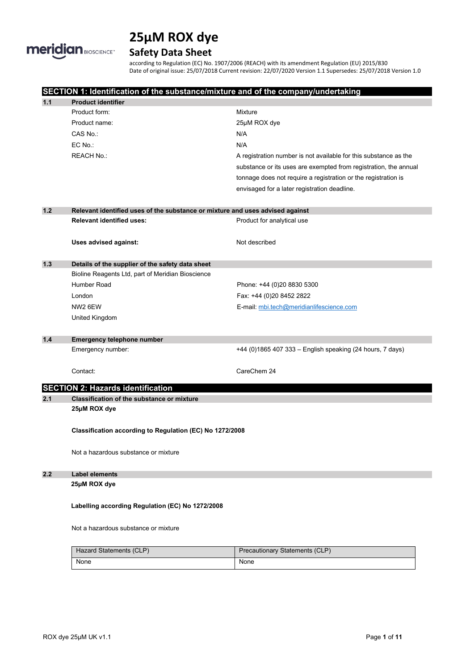

# **Safety Data Sheet**

according to Regulation (EC) No. 1907/2006 (REACH) with its amendment Regulation (EU) 2015/830 Date of original issue: 25/07/2018 Current revision: 22/07/2020 Version 1.1 Supersedes: 25/07/2018 Version 1.0

|       |                                                                               | SECTION 1: Identification of the substance/mixture and of the company/undertaking |  |  |  |
|-------|-------------------------------------------------------------------------------|-----------------------------------------------------------------------------------|--|--|--|
| 1.1   | <b>Product identifier</b>                                                     |                                                                                   |  |  |  |
|       | Product form:                                                                 | Mixture                                                                           |  |  |  |
|       | Product name:                                                                 | 25µM ROX dye                                                                      |  |  |  |
|       | CAS No.:                                                                      | N/A                                                                               |  |  |  |
|       | EC No.:                                                                       | N/A                                                                               |  |  |  |
|       | <b>REACH No.:</b>                                                             | A registration number is not available for this substance as the                  |  |  |  |
|       |                                                                               | substance or its uses are exempted from registration, the annual                  |  |  |  |
|       |                                                                               | tonnage does not require a registration or the registration is                    |  |  |  |
|       |                                                                               | envisaged for a later registration deadline.                                      |  |  |  |
| $1.2$ | Relevant identified uses of the substance or mixture and uses advised against |                                                                                   |  |  |  |
|       | <b>Relevant identified uses:</b>                                              | Product for analytical use                                                        |  |  |  |
|       | Uses advised against:                                                         | Not described                                                                     |  |  |  |
| $1.3$ | Details of the supplier of the safety data sheet                              |                                                                                   |  |  |  |
|       | Bioline Reagents Ltd, part of Meridian Bioscience                             |                                                                                   |  |  |  |
|       | Humber Road                                                                   | Phone: +44 (0)20 8830 5300                                                        |  |  |  |
|       | London                                                                        | Fax: +44 (0)20 8452 2822                                                          |  |  |  |
|       | NW2 6EW                                                                       | E-mail: mbi.tech@meridianlifescience.com                                          |  |  |  |
|       | <b>United Kingdom</b>                                                         |                                                                                   |  |  |  |
|       |                                                                               |                                                                                   |  |  |  |
| $1.4$ | <b>Emergency telephone number</b>                                             |                                                                                   |  |  |  |
|       | Emergency number:                                                             | +44 (0)1865 407 333 - English speaking (24 hours, 7 days)                         |  |  |  |
|       | Contact:                                                                      | CareChem 24                                                                       |  |  |  |
|       |                                                                               |                                                                                   |  |  |  |
|       | <b>SECTION 2: Hazards identification</b>                                      |                                                                                   |  |  |  |
| 2.1   | <b>Classification of the substance or mixture</b>                             |                                                                                   |  |  |  |
|       | 25µM ROX dye                                                                  |                                                                                   |  |  |  |
|       | Classification according to Regulation (EC) No 1272/2008                      |                                                                                   |  |  |  |
|       | Not a hazardous substance or mixture                                          |                                                                                   |  |  |  |
| 2.2   | <b>Label elements</b>                                                         |                                                                                   |  |  |  |
|       | 25µM ROX dye                                                                  |                                                                                   |  |  |  |
|       | Labelling according Regulation (EC) No 1272/2008                              |                                                                                   |  |  |  |
|       | Not a hazardous substance or mixture                                          |                                                                                   |  |  |  |
|       | Hazard Statements (CLP)                                                       | <b>Precautionary Statements (CLP)</b>                                             |  |  |  |
|       | None                                                                          | None                                                                              |  |  |  |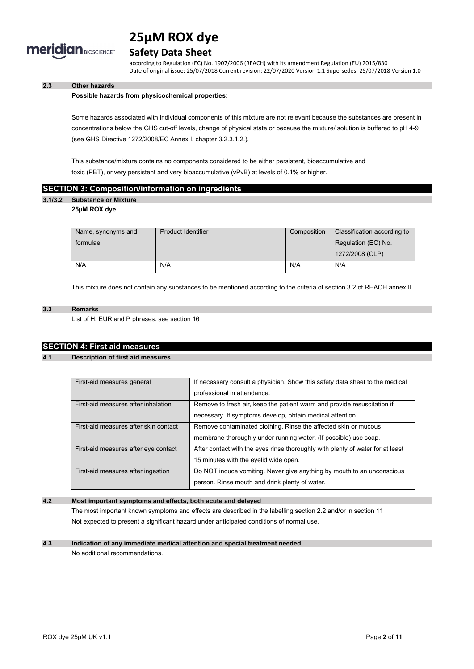

# **Safety Data Sheet**

according to Regulation (EC) No. 1907/2006 (REACH) with its amendment Regulation (EU) 2015/830 Date of original issue: 25/07/2018 Current revision: 22/07/2020 Version 1.1 Supersedes: 25/07/2018 Version 1.0

# **2.3 Other hazards**

#### **Possible hazards from physicochemical properties:**

Some hazards associated with individual components of this mixture are not relevant because the substances are present in concentrations below the GHS cut-off levels, change of physical state or because the mixture/ solution is buffered to pH 4-9 (see GHS Directive 1272/2008/EC Annex I, chapter 3.2.3.1.2.).

This substance/mixture contains no components considered to be either persistent, bioaccumulative and toxic (PBT), or very persistent and very bioaccumulative (vPvB) at levels of 0.1% or higher.

### **SECTION 3: Composition/information on ingredients**

# **3.1/3.2 Substance or Mixture**

# **25µM ROX dye**

| Name, synonyms and | <b>Product Identifier</b> | Composition | Classification according to |
|--------------------|---------------------------|-------------|-----------------------------|
| formulae           |                           |             | Regulation (EC) No.         |
|                    |                           |             | 1272/2008 (CLP)             |
| N/A                | N/A                       | N/A         | N/A                         |

This mixture does not contain any substances to be mentioned according to the criteria of section 3.2 of REACH annex II

#### **3.3 Remarks**

List of H, EUR and P phrases: see section 16

# **SECTION 4: First aid measures**

#### **4.1 Description of first aid measures**

| First-aid measures general            | If necessary consult a physician. Show this safety data sheet to the medical   |
|---------------------------------------|--------------------------------------------------------------------------------|
|                                       | professional in attendance.                                                    |
| First-aid measures after inhalation   | Remove to fresh air, keep the patient warm and provide resuscitation if        |
|                                       | necessary. If symptoms develop, obtain medical attention.                      |
| First-aid measures after skin contact | Remove contaminated clothing. Rinse the affected skin or mucous                |
|                                       | membrane thoroughly under running water. (If possible) use soap.               |
| First-aid measures after eye contact  | After contact with the eyes rinse thoroughly with plenty of water for at least |
|                                       | 15 minutes with the eyelid wide open.                                          |
| First-aid measures after ingestion    | Do NOT induce vomiting. Never give anything by mouth to an unconscious         |
|                                       | person. Rinse mouth and drink plenty of water.                                 |

# **4.2 Most important symptoms and effects, both acute and delayed**

The most important known symptoms and effects are described in the labelling section 2.2 and/or in section 11 Not expected to present a significant hazard under anticipated conditions of normal use.

# **4.3 Indication of any immediate medical attention and special treatment needed**

No additional recommendations.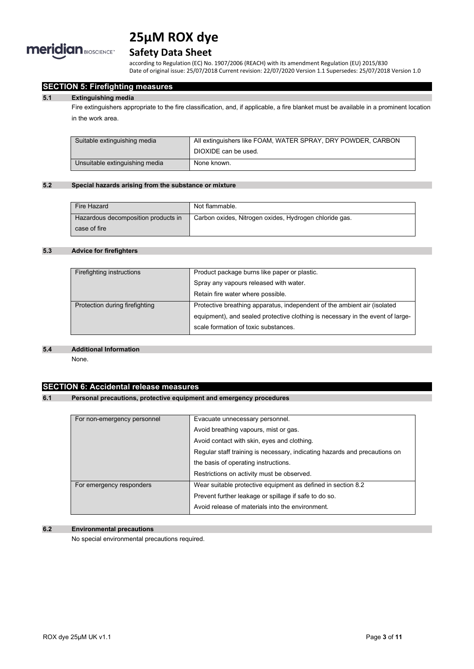

# **Safety Data Sheet**

according to Regulation (EC) No. 1907/2006 (REACH) with its amendment Regulation (EU) 2015/830 Date of original issue: 25/07/2018 Current revision: 22/07/2020 Version 1.1 Supersedes: 25/07/2018 Version 1.0

# **SECTION 5: Firefighting measures**

#### **5.1 Extinguishing media**

Fire extinguishers appropriate to the fire classification, and, if applicable, a fire blanket must be available in a prominent location in the work area.

| Suitable extinguishing media   | All extinguishers like FOAM, WATER SPRAY, DRY POWDER, CARBON |
|--------------------------------|--------------------------------------------------------------|
|                                | DIOXIDE can be used.                                         |
| Unsuitable extinguishing media | None known.                                                  |

#### **5.2 Special hazards arising from the substance or mixture**

| Fire Hazard                         | Not flammable.                                         |
|-------------------------------------|--------------------------------------------------------|
| Hazardous decomposition products in | Carbon oxides, Nitrogen oxides, Hydrogen chloride gas. |
| case of fire                        |                                                        |

# **5.3 Advice for firefighters**

| Product package burns like paper or plastic.                                   |
|--------------------------------------------------------------------------------|
| Spray any vapours released with water.                                         |
| Retain fire water where possible.                                              |
| Protective breathing apparatus, independent of the ambient air (isolated       |
| equipment), and sealed protective clothing is necessary in the event of large- |
| scale formation of toxic substances.                                           |
|                                                                                |

#### **5.4 Additional Information**

None.

# **SECTION 6: Accidental release measures**

### **6.1 Personal precautions, protective equipment and emergency procedures**

| For non-emergency personnel | Evacuate unnecessary personnel.                                            |
|-----------------------------|----------------------------------------------------------------------------|
|                             | Avoid breathing vapours, mist or gas.                                      |
|                             | Avoid contact with skin, eyes and clothing.                                |
|                             | Regular staff training is necessary, indicating hazards and precautions on |
|                             | the basis of operating instructions.                                       |
|                             | Restrictions on activity must be observed.                                 |
| For emergency responders    | Wear suitable protective equipment as defined in section 8.2               |
|                             | Prevent further leakage or spillage if safe to do so.                      |
|                             | Avoid release of materials into the environment.                           |

### **6.2 Environmental precautions**

No special environmental precautions required.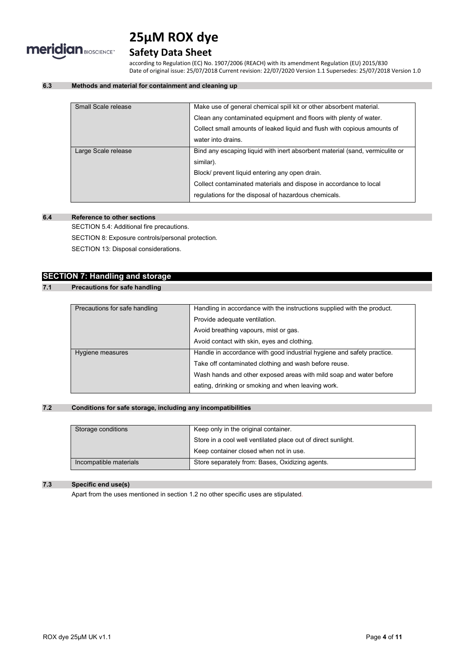

# **Safety Data Sheet**

according to Regulation (EC) No. 1907/2006 (REACH) with its amendment Regulation (EU) 2015/830 Date of original issue: 25/07/2018 Current revision: 22/07/2020 Version 1.1 Supersedes: 25/07/2018 Version 1.0

# **6.3 Methods and material for containment and cleaning up**

| Small Scale release | Make use of general chemical spill kit or other absorbent material.          |  |
|---------------------|------------------------------------------------------------------------------|--|
|                     | Clean any contaminated equipment and floors with plenty of water.            |  |
|                     | Collect small amounts of leaked liquid and flush with copious amounts of     |  |
|                     | water into drains.                                                           |  |
| Large Scale release | Bind any escaping liquid with inert absorbent material (sand, vermiculite or |  |
|                     | similar).                                                                    |  |
|                     | Block/ prevent liquid entering any open drain.                               |  |
|                     | Collect contaminated materials and dispose in accordance to local            |  |
|                     | regulations for the disposal of hazardous chemicals.                         |  |
|                     |                                                                              |  |

# **6.4 Reference to other sections**

SECTION 5.4: Additional fire precautions.

SECTION 8: Exposure controls/personal protection.

SECTION 13: Disposal considerations.

# **SECTION 7: Handling and storage**

# **7.1 Precautions for safe handling**

| Precautions for safe handling | Handling in accordance with the instructions supplied with the product. |
|-------------------------------|-------------------------------------------------------------------------|
|                               | Provide adequate ventilation.                                           |
|                               | Avoid breathing vapours, mist or gas.                                   |
|                               | Avoid contact with skin, eyes and clothing.                             |
| Hygiene measures              | Handle in accordance with good industrial hygiene and safety practice.  |
|                               | Take off contaminated clothing and wash before reuse.                   |
|                               | Wash hands and other exposed areas with mild soap and water before      |
|                               | eating, drinking or smoking and when leaving work.                      |

#### **7.2 Conditions for safe storage, including any incompatibilities**

| Storage conditions     | Keep only in the original container.                          |
|------------------------|---------------------------------------------------------------|
|                        | Store in a cool well ventilated place out of direct sunlight. |
|                        | Keep container closed when not in use.                        |
| Incompatible materials | Store separately from: Bases, Oxidizing agents.               |

# **7.3 Specific end use(s)**

Apart from the uses mentioned in section 1.2 no other specific uses are stipulated.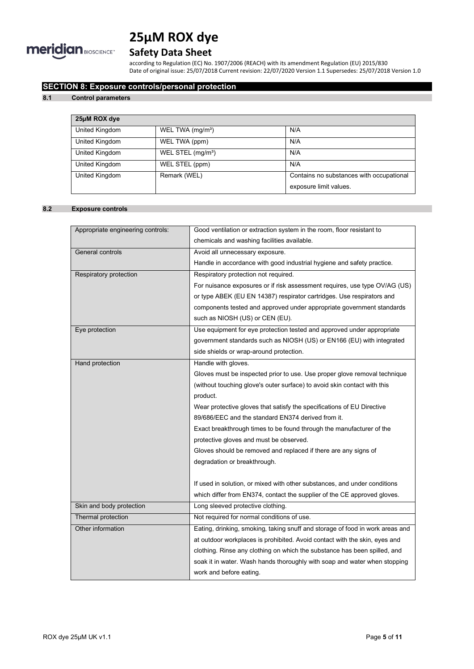

# **Safety Data Sheet**

according to Regulation (EC) No. 1907/2006 (REACH) with its amendment Regulation (EU) 2015/830 Date of original issue: 25/07/2018 Current revision: 22/07/2020 Version 1.1 Supersedes: 25/07/2018 Version 1.0

# **SECTION 8: Exposure controls/personal protection**

### **8.1 Control parameters**

| 25µM ROX dye   |                               |                                          |
|----------------|-------------------------------|------------------------------------------|
| United Kingdom | WEL TWA (mg/m <sup>3</sup> )  | N/A                                      |
| United Kingdom | WEL TWA (ppm)                 | N/A                                      |
| United Kingdom | WEL STEL (mg/m <sup>3</sup> ) | N/A                                      |
| United Kingdom | WEL STEL (ppm)                | N/A                                      |
| United Kingdom | Remark (WEL)                  | Contains no substances with occupational |
|                |                               | exposure limit values.                   |

# **8.2 Exposure controls**

| Appropriate engineering controls: | Good ventilation or extraction system in the room, floor resistant to         |
|-----------------------------------|-------------------------------------------------------------------------------|
|                                   | chemicals and washing facilities available.                                   |
| General controls                  | Avoid all unnecessary exposure.                                               |
|                                   | Handle in accordance with good industrial hygiene and safety practice.        |
| Respiratory protection            | Respiratory protection not required.                                          |
|                                   | For nuisance exposures or if risk assessment requires, use type OV/AG (US)    |
|                                   | or type ABEK (EU EN 14387) respirator cartridges. Use respirators and         |
|                                   | components tested and approved under appropriate government standards         |
|                                   | such as NIOSH (US) or CEN (EU).                                               |
| Eye protection                    | Use equipment for eye protection tested and approved under appropriate        |
|                                   | government standards such as NIOSH (US) or EN166 (EU) with integrated         |
|                                   | side shields or wrap-around protection.                                       |
| Hand protection                   | Handle with gloves.                                                           |
|                                   | Gloves must be inspected prior to use. Use proper glove removal technique     |
|                                   | (without touching glove's outer surface) to avoid skin contact with this      |
|                                   | product.                                                                      |
|                                   | Wear protective gloves that satisfy the specifications of EU Directive        |
|                                   | 89/686/EEC and the standard EN374 derived from it.                            |
|                                   | Exact breakthrough times to be found through the manufacturer of the          |
|                                   | protective gloves and must be observed.                                       |
|                                   | Gloves should be removed and replaced if there are any signs of               |
|                                   | degradation or breakthrough.                                                  |
|                                   |                                                                               |
|                                   | If used in solution, or mixed with other substances, and under conditions     |
|                                   | which differ from EN374, contact the supplier of the CE approved gloves.      |
| Skin and body protection          | Long sleeved protective clothing.                                             |
| Thermal protection                | Not required for normal conditions of use.                                    |
| Other information                 | Eating, drinking, smoking, taking snuff and storage of food in work areas and |
|                                   | at outdoor workplaces is prohibited. Avoid contact with the skin, eyes and    |
|                                   | clothing. Rinse any clothing on which the substance has been spilled, and     |
|                                   | soak it in water. Wash hands thoroughly with soap and water when stopping     |
|                                   | work and before eating.                                                       |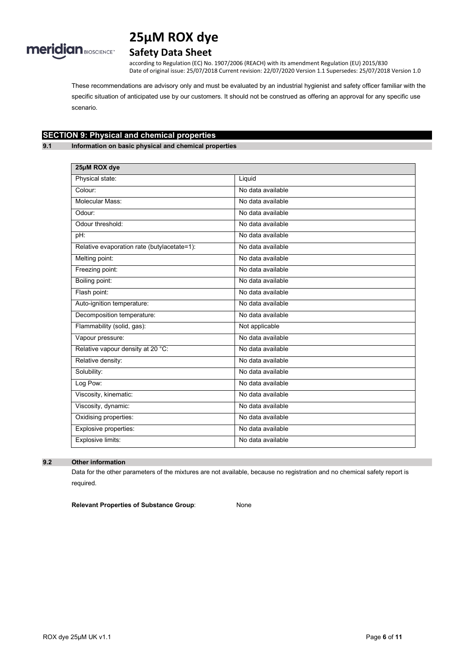

# **Safety Data Sheet**

according to Regulation (EC) No. 1907/2006 (REACH) with its amendment Regulation (EU) 2015/830 Date of original issue: 25/07/2018 Current revision: 22/07/2020 Version 1.1 Supersedes: 25/07/2018 Version 1.0

These recommendations are advisory only and must be evaluated by an industrial hygienist and safety officer familiar with the specific situation of anticipated use by our customers. It should not be construed as offering an approval for any specific use scenario.

# **SECTION 9: Physical and chemical properties**

**9.1 Information on basic physical and chemical properties**

| 25µM ROX dye                                |                   |  |
|---------------------------------------------|-------------------|--|
| Physical state:                             | Liquid            |  |
| Colour:                                     | No data available |  |
| Molecular Mass:                             | No data available |  |
| Odour:                                      | No data available |  |
| Odour threshold:                            | No data available |  |
| pH:                                         | No data available |  |
| Relative evaporation rate (butylacetate=1): | No data available |  |
| Melting point:                              | No data available |  |
| Freezing point:                             | No data available |  |
| Boiling point:                              | No data available |  |
| Flash point:                                | No data available |  |
| Auto-ignition temperature:                  | No data available |  |
| Decomposition temperature:                  | No data available |  |
| Flammability (solid, gas):                  | Not applicable    |  |
| Vapour pressure:                            | No data available |  |
| Relative vapour density at 20 °C:           | No data available |  |
| Relative density:                           | No data available |  |
| Solubility:                                 | No data available |  |
| Log Pow:                                    | No data available |  |
| Viscosity, kinematic:                       | No data available |  |
| Viscosity, dynamic:                         | No data available |  |
| Oxidising properties:                       | No data available |  |
| Explosive properties:                       | No data available |  |
| Explosive limits:                           | No data available |  |

### **9.2 Other information**

Data for the other parameters of the mixtures are not available, because no registration and no chemical safety report is required.

**Relevant Properties of Substance Group**: None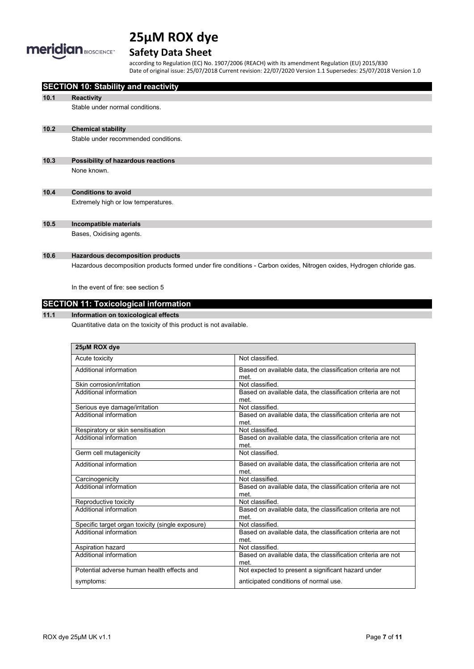

# **Safety Data Sheet**

according to Regulation (EC) No. 1907/2006 (REACH) with its amendment Regulation (EU) 2015/830 Date of original issue: 25/07/2018 Current revision: 22/07/2020 Version 1.1 Supersedes: 25/07/2018 Version 1.0

|      | <b>SECTION 10: Stability and reactivity</b>                         |                                                                                                                        |
|------|---------------------------------------------------------------------|------------------------------------------------------------------------------------------------------------------------|
| 10.1 | <b>Reactivity</b>                                                   |                                                                                                                        |
|      | Stable under normal conditions.                                     |                                                                                                                        |
|      |                                                                     |                                                                                                                        |
| 10.2 | <b>Chemical stability</b>                                           |                                                                                                                        |
|      | Stable under recommended conditions.                                |                                                                                                                        |
|      |                                                                     |                                                                                                                        |
| 10.3 | Possibility of hazardous reactions                                  |                                                                                                                        |
|      | None known.                                                         |                                                                                                                        |
|      |                                                                     |                                                                                                                        |
| 10.4 | <b>Conditions to avoid</b>                                          |                                                                                                                        |
|      | Extremely high or low temperatures.                                 |                                                                                                                        |
|      |                                                                     |                                                                                                                        |
| 10.5 | Incompatible materials                                              |                                                                                                                        |
|      | Bases, Oxidising agents.                                            |                                                                                                                        |
|      |                                                                     |                                                                                                                        |
| 10.6 | <b>Hazardous decomposition products</b>                             |                                                                                                                        |
|      |                                                                     | Hazardous decomposition products formed under fire conditions - Carbon oxides, Nitrogen oxides, Hydrogen chloride gas. |
|      |                                                                     |                                                                                                                        |
|      | In the event of fire: see section 5                                 |                                                                                                                        |
|      | <b>SECTION 11: Toxicological information</b>                        |                                                                                                                        |
| 11.1 |                                                                     |                                                                                                                        |
|      | Information on toxicological effects                                |                                                                                                                        |
|      | Quantitative data on the toxicity of this product is not available. |                                                                                                                        |
|      |                                                                     |                                                                                                                        |
|      | 25µM ROX dye                                                        |                                                                                                                        |
|      | Acute toxicity                                                      | Not classified.                                                                                                        |
|      | Additional information                                              | Based on available data the classification criteria are not                                                            |

| Additional information                           | Based on available data, the classification criteria are not<br>met. |
|--------------------------------------------------|----------------------------------------------------------------------|
| Skin corrosion/irritation                        | Not classified.                                                      |
| Additional information                           | Based on available data, the classification criteria are not<br>met. |
| Serious eye damage/irritation                    | Not classified.                                                      |
| Additional information                           | Based on available data, the classification criteria are not<br>met. |
| Respiratory or skin sensitisation                | Not classified.                                                      |
| Additional information                           | Based on available data, the classification criteria are not<br>met. |
| Germ cell mutagenicity                           | Not classified.                                                      |
| Additional information                           | Based on available data, the classification criteria are not<br>met. |
| Carcinogenicity                                  | Not classified.                                                      |
| Additional information                           | Based on available data, the classification criteria are not<br>met. |
| Reproductive toxicity                            | Not classified                                                       |
| Additional information                           | Based on available data, the classification criteria are not<br>met. |
| Specific target organ toxicity (single exposure) | Not classified.                                                      |
| Additional information                           | Based on available data, the classification criteria are not<br>met. |
| Aspiration hazard                                | Not classified.                                                      |
| Additional information                           | Based on available data, the classification criteria are not<br>met. |
| Potential adverse human health effects and       | Not expected to present a significant hazard under                   |
| symptoms:                                        | anticipated conditions of normal use.                                |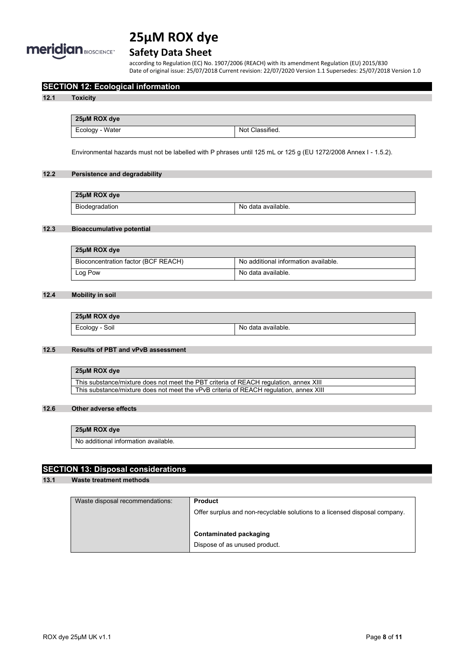

# **Safety Data Sheet**

according to Regulation (EC) No. 1907/2006 (REACH) with its amendment Regulation (EU) 2015/830 Date of original issue: 25/07/2018 Current revision: 22/07/2020 Version 1.1 Supersedes: 25/07/2018 Version 1.0

# **SECTION 12: Ecological information**

#### **12.1 Toxicity**

| 25µM ROX dye    |                 |
|-----------------|-----------------|
| Ecology - Water | Not Classified. |

Environmental hazards must not be labelled with P phrases until 125 mL or 125 g (EU 1272/2008 Annex I - 1.5.2).

# **12.2 Persistence and degradability**

| 25µM ROX dye   |                    |
|----------------|--------------------|
| Biodegradation | No data available. |

# **12.3 Bioaccumulative potential**

| 25µM ROX dye                        |                                      |
|-------------------------------------|--------------------------------------|
| Bioconcentration factor (BCF REACH) | No additional information available. |
| Log Pow                             | No data available.                   |

# **12.4 Mobility in soil**

| 25µM ROX dye   |                    |
|----------------|--------------------|
| Ecology - Soil | No data available. |

#### **12.5 Results of PBT and vPvB assessment**

| 25µM ROX dye                                                                           |
|----------------------------------------------------------------------------------------|
| This substance/mixture does not meet the PBT criteria of REACH regulation, annex XIII  |
| This substance/mixture does not meet the vPvB criteria of REACH regulation, annex XIII |

### **12.6 Other adverse effects**

# **25µM ROX dye**

No additional information available.

# **SECTION 13: Disposal considerations**

# **13.1 Waste treatment methods**

| Waste disposal recommendations: | <b>Product</b>                                                             |
|---------------------------------|----------------------------------------------------------------------------|
|                                 | Offer surplus and non-recyclable solutions to a licensed disposal company. |
|                                 |                                                                            |
|                                 | <b>Contaminated packaging</b>                                              |
|                                 | Dispose of as unused product.                                              |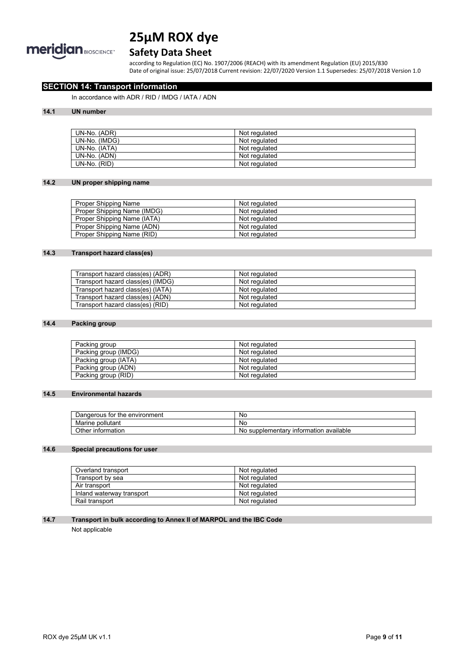

# **Safety Data Sheet**

according to Regulation (EC) No. 1907/2006 (REACH) with its amendment Regulation (EU) 2015/830 Date of original issue: 25/07/2018 Current revision: 22/07/2020 Version 1.1 Supersedes: 25/07/2018 Version 1.0

# **SECTION 14: Transport information**

In accordance with ADR / RID / IMDG / IATA / ADN

#### **14.1 UN number**

| UN-No. (ADR)  | Not regulated |
|---------------|---------------|
| UN-No. (IMDG) | Not regulated |
| UN-No. (IATA) | Not regulated |
| UN-No. (ADN)  | Not regulated |
| UN-No. (RID)  | Not regulated |

### **14.2 UN proper shipping name**

| Proper Shipping Name        | Not regulated |
|-----------------------------|---------------|
| Proper Shipping Name (IMDG) | Not regulated |
| Proper Shipping Name (IATA) | Not regulated |
| Proper Shipping Name (ADN)  | Not regulated |
| Proper Shipping Name (RID)  | Not regulated |

# **14.3 Transport hazard class(es)**

| Transport hazard class(es) (ADR)  | Not regulated |
|-----------------------------------|---------------|
| Transport hazard class(es) (IMDG) | Not regulated |
| Transport hazard class(es) (IATA) | Not regulated |
| Transport hazard class(es) (ADN)  | Not regulated |
| Transport hazard class(es) (RID)  | Not regulated |

#### **14.4 Packing group**

| Packing group        | Not regulated |
|----------------------|---------------|
| Packing group (IMDG) | Not regulated |
| Packing group (IATA) | Not regulated |
| Packing group (ADN)  | Not regulated |
| Packing group (RID)  | Not regulated |

#### **14.5 Environmental hazards**

| Dangerous for<br>the environment ' | No                                             |
|------------------------------------|------------------------------------------------|
| pollutant<br>Marine                | No                                             |
| Other<br>∶information              | ' information available<br>supplementarv<br>ΝO |

# **14.6 Special precautions for user**

| Overland transport        | Not regulated |
|---------------------------|---------------|
| Transport by sea          | Not regulated |
| Air transport             | Not regulated |
| Inland waterway transport | Not regulated |
| Rail transport            | Not regulated |

### **14.7 Transport in bulk according to Annex II of MARPOL and the IBC Code**

Not applicable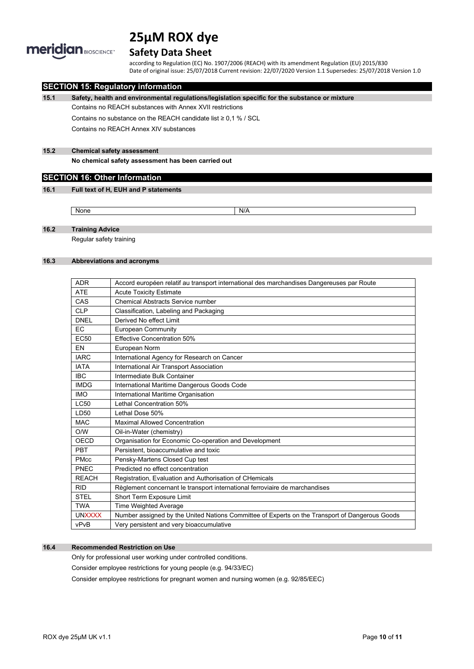

# **Safety Data Sheet**

according to Regulation (EC) No. 1907/2006 (REACH) with its amendment Regulation (EU) 2015/830 Date of original issue: 25/07/2018 Current revision: 22/07/2020 Version 1.1 Supersedes: 25/07/2018 Version 1.0

# **SECTION 15: Regulatory information**

**15.1 Safety, health and environmental regulations/legislation specific for the substance or mixture**

Contains no REACH substances with Annex XVII restrictions

Contains no substance on the REACH candidate list ≥ 0,1 % / SCL

Contains no REACH Annex XIV substances

# **15.2 Chemical safety assessment**

**No chemical safety assessment has been carried out**

# **SECTION 16: Other Information**

#### **16.1 Full text of H, EUH and P statements**

None None N/A

### **16.2 Training Advice**

Regular safety training

#### **16.3 Abbreviations and acronyms**

| <b>ADR</b>       | Accord européen relatif au transport international des marchandises Dangereuses par Route      |
|------------------|------------------------------------------------------------------------------------------------|
| <b>ATE</b>       | <b>Acute Toxicity Estimate</b>                                                                 |
| CAS              | <b>Chemical Abstracts Service number</b>                                                       |
| <b>CLP</b>       | Classification, Labeling and Packaging                                                         |
| <b>DNEL</b>      | Derived No effect Limit                                                                        |
| <b>EC</b>        | European Community                                                                             |
| EC <sub>50</sub> | <b>Effective Concentration 50%</b>                                                             |
| EN               | European Norm                                                                                  |
| <b>IARC</b>      | International Agency for Research on Cancer                                                    |
| <b>IATA</b>      | International Air Transport Association                                                        |
| <b>IBC</b>       | Intermediate Bulk Container                                                                    |
| <b>IMDG</b>      | International Maritime Dangerous Goods Code                                                    |
| <b>IMO</b>       | International Maritime Organisation                                                            |
| LC50             | Lethal Concentration 50%                                                                       |
| LD50             | Lethal Dose 50%                                                                                |
| <b>MAC</b>       | <b>Maximal Allowed Concentration</b>                                                           |
| O/W              | Oil-in-Water (chemistry)                                                                       |
| OECD             | Organisation for Economic Co-operation and Development                                         |
| PBT              | Persistent, bioaccumulative and toxic                                                          |
| <b>PMcc</b>      | Pensky-Martens Closed Cup test                                                                 |
| PNEC             | Predicted no effect concentration                                                              |
| <b>REACH</b>     | Registration, Evaluation and Authorisation of CHemicals                                        |
| <b>RID</b>       | Règlement concernant le transport international ferroviaire de marchandises                    |
| <b>STEL</b>      | Short Term Exposure Limit                                                                      |
| <b>TWA</b>       | <b>Time Weighted Average</b>                                                                   |
| <b>UNXXXX</b>    | Number assigned by the United Nations Committee of Experts on the Transport of Dangerous Goods |
| vPvB             | Very persistent and very bioaccumulative                                                       |

# **16.4 Recommended Restriction on Use**

Only for professional user working under controlled conditions.

Consider employee restrictions for young people (e.g. 94/33/EC)

Consider employee restrictions for pregnant women and nursing women (e.g. 92/85/EEC)